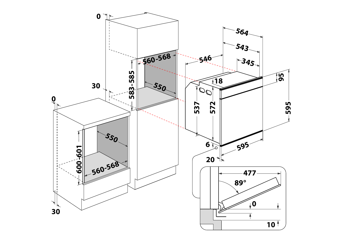